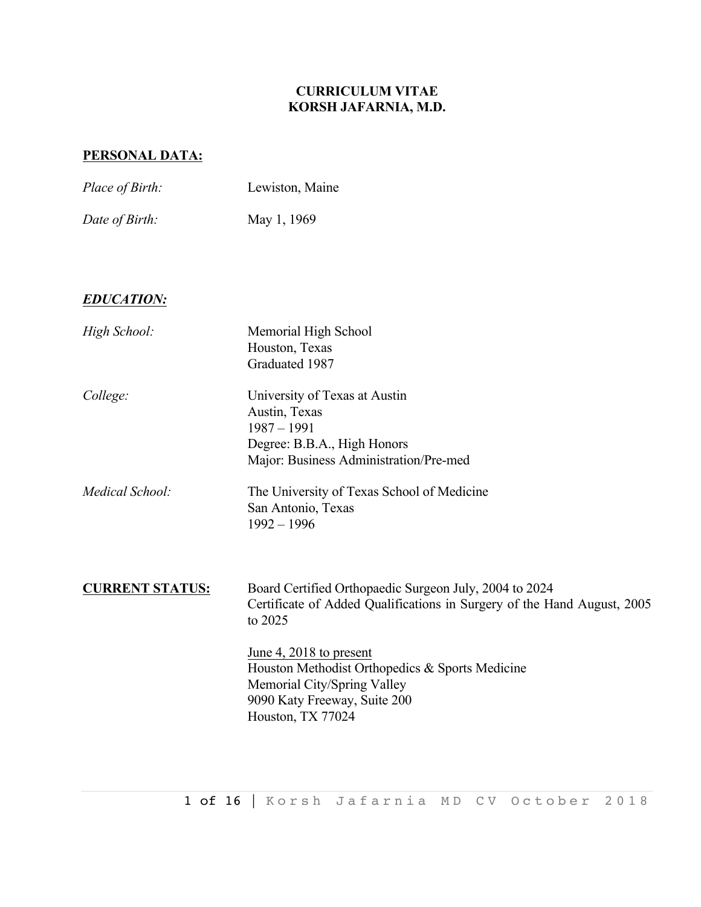# **CURRICULUM VITAE KORSH JAFARNIA, M.D.**

# **PERSONAL DATA:**

| Place of Birth:        | Lewiston, Maine                                                                                                                                                                                                                                                                                                |
|------------------------|----------------------------------------------------------------------------------------------------------------------------------------------------------------------------------------------------------------------------------------------------------------------------------------------------------------|
| Date of Birth:         | May 1, 1969                                                                                                                                                                                                                                                                                                    |
| <b>EDUCATION:</b>      |                                                                                                                                                                                                                                                                                                                |
| High School:           | Memorial High School<br>Houston, Texas<br>Graduated 1987                                                                                                                                                                                                                                                       |
| College:               | University of Texas at Austin<br>Austin, Texas<br>$1987 - 1991$<br>Degree: B.B.A., High Honors<br>Major: Business Administration/Pre-med                                                                                                                                                                       |
| Medical School:        | The University of Texas School of Medicine<br>San Antonio, Texas<br>$1992 - 1996$                                                                                                                                                                                                                              |
| <b>CURRENT STATUS:</b> | Board Certified Orthopaedic Surgeon July, 2004 to 2024<br>Certificate of Added Qualifications in Surgery of the Hand August, 2005<br>to 2025<br>June 4, 2018 to present<br>Houston Methodist Orthopedics & Sports Medicine<br>Memorial City/Spring Valley<br>9090 Katy Freeway, Suite 200<br>Houston, TX 77024 |
|                        |                                                                                                                                                                                                                                                                                                                |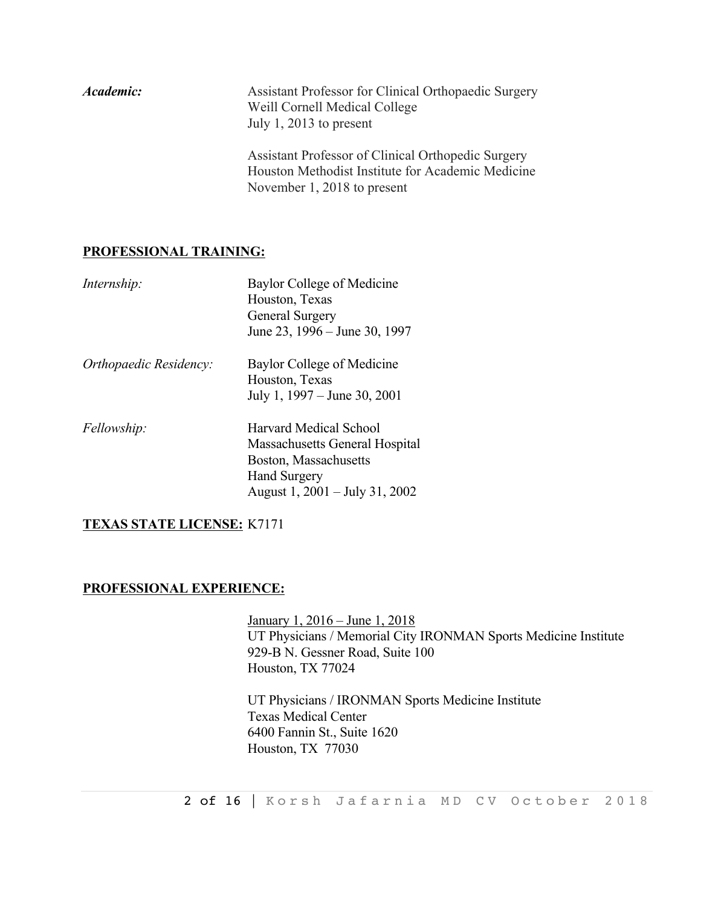| Academic: | Assistant Professor for Clinical Orthopaedic Surgery<br>Weill Cornell Medical College<br>July 1, 2013 to present                       |
|-----------|----------------------------------------------------------------------------------------------------------------------------------------|
|           | Assistant Professor of Clinical Orthopedic Surgery<br>Houston Methodist Institute for Academic Medicine<br>November 1, 2018 to present |

## **PROFESSIONAL TRAINING:**

| Internship:            | Baylor College of Medicine<br>Houston, Texas<br>General Surgery<br>June 23, 1996 – June 30, 1997                                                  |
|------------------------|---------------------------------------------------------------------------------------------------------------------------------------------------|
| Orthopaedic Residency: | Baylor College of Medicine<br>Houston, Texas<br>July 1, 1997 – June 30, 2001                                                                      |
| Fellowship:            | <b>Harvard Medical School</b><br>Massachusetts General Hospital<br>Boston, Massachusetts<br><b>Hand Surgery</b><br>August 1, 2001 – July 31, 2002 |

## **TEXAS STATE LICENSE:** K7171

## **PROFESSIONAL EXPERIENCE:**

January 1, 2016 – June 1, 2018 UT Physicians / Memorial City IRONMAN Sports Medicine Institute 929-B N. Gessner Road, Suite 100 Houston, TX 77024

UT Physicians / IRONMAN Sports Medicine Institute Texas Medical Center 6400 Fannin St., Suite 1620 Houston, TX 77030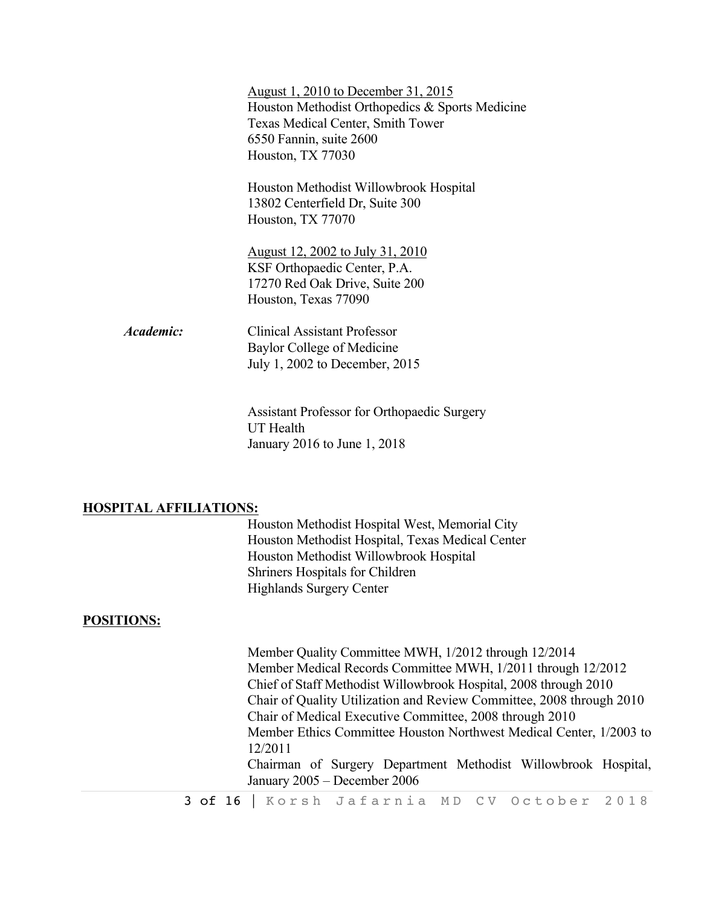|                  | August 1, 2010 to December 31, 2015             |
|------------------|-------------------------------------------------|
|                  | Houston Methodist Orthopedics & Sports Medicine |
|                  | Texas Medical Center, Smith Tower               |
|                  | 6550 Fannin, suite 2600                         |
|                  | Houston, TX 77030                               |
|                  | Houston Methodist Willowbrook Hospital          |
|                  | 13802 Centerfield Dr, Suite 300                 |
|                  | Houston, TX 77070                               |
|                  | August 12, 2002 to July 31, 2010                |
|                  | KSF Orthopaedic Center, P.A.                    |
|                  | 17270 Red Oak Drive, Suite 200                  |
|                  | Houston, Texas 77090                            |
| <i>Academic:</i> | <b>Clinical Assistant Professor</b>             |
|                  | Baylor College of Medicine                      |
|                  | July 1, 2002 to December, 2015                  |
|                  |                                                 |

Assistant Professor for Orthopaedic Surgery UT Health January 2016 to June 1, 2018

## **HOSPITAL AFFILIATIONS:**

Houston Methodist Hospital West, Memorial City Houston Methodist Hospital, Texas Medical Center Houston Methodist Willowbrook Hospital Shriners Hospitals for Children Highlands Surgery Center

## **POSITIONS:**

3 of 16 | Korsh Jafarnia MD CV October 2018 Member Quality Committee MWH, 1/2012 through 12/2014 Member Medical Records Committee MWH, 1/2011 through 12/2012 Chief of Staff Methodist Willowbrook Hospital, 2008 through 2010 Chair of Quality Utilization and Review Committee, 2008 through 2010 Chair of Medical Executive Committee, 2008 through 2010 Member Ethics Committee Houston Northwest Medical Center, 1/2003 to 12/2011 Chairman of Surgery Department Methodist Willowbrook Hospital, January 2005 – December 2006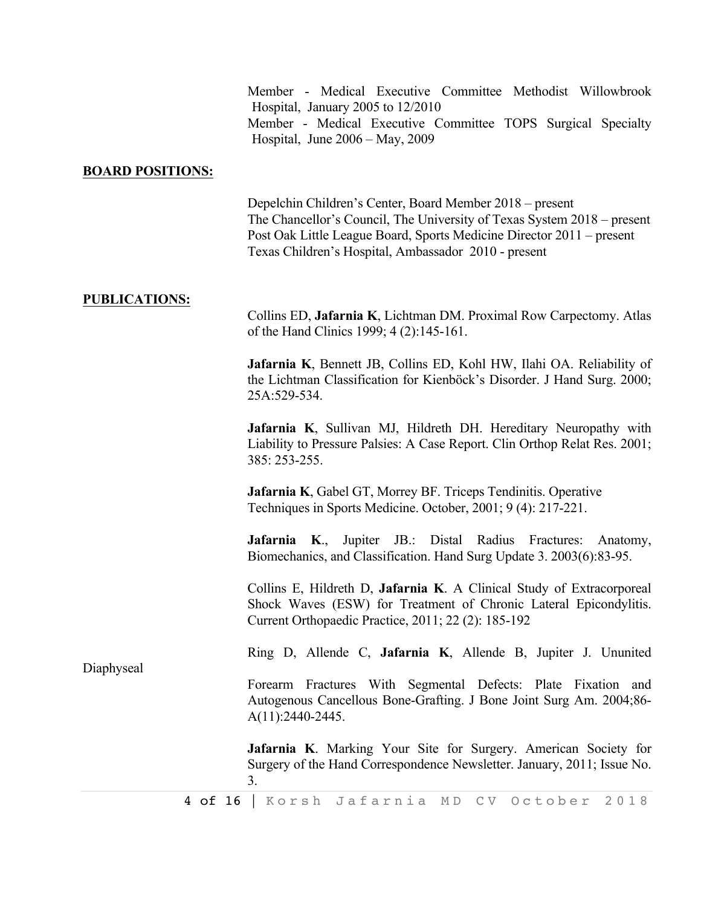|                         | Member - Medical Executive Committee Methodist Willowbrook<br>Hospital, January 2005 to 12/2010<br>Member - Medical Executive Committee TOPS Surgical Specialty<br>Hospital, June $2006 - May$ , $2009$                                                              |
|-------------------------|----------------------------------------------------------------------------------------------------------------------------------------------------------------------------------------------------------------------------------------------------------------------|
| <b>BOARD POSITIONS:</b> |                                                                                                                                                                                                                                                                      |
|                         | Depelchin Children's Center, Board Member 2018 – present<br>The Chancellor's Council, The University of Texas System 2018 – present<br>Post Oak Little League Board, Sports Medicine Director 2011 – present<br>Texas Children's Hospital, Ambassador 2010 - present |
| <b>PUBLICATIONS:</b>    | Collins ED, Jafarnia K, Lichtman DM. Proximal Row Carpectomy. Atlas<br>of the Hand Clinics 1999; 4 (2):145-161.                                                                                                                                                      |
|                         | Jafarnia K, Bennett JB, Collins ED, Kohl HW, Ilahi OA. Reliability of<br>the Lichtman Classification for Kienböck's Disorder. J Hand Surg. 2000;<br>25A:529-534.                                                                                                     |
|                         | Jafarnia K, Sullivan MJ, Hildreth DH. Hereditary Neuropathy with<br>Liability to Pressure Palsies: A Case Report. Clin Orthop Relat Res. 2001;<br>385: 253-255.                                                                                                      |
|                         | Jafarnia K, Gabel GT, Morrey BF. Triceps Tendinitis. Operative<br>Techniques in Sports Medicine. October, 2001; 9 (4): 217-221.                                                                                                                                      |
|                         | <b>Jafarnia K.,</b> Jupiter JB.: Distal Radius Fractures:<br>Anatomy,<br>Biomechanics, and Classification. Hand Surg Update 3. 2003(6):83-95.                                                                                                                        |
| Diaphyseal              | Collins E, Hildreth D, Jafarnia K. A Clinical Study of Extracorporeal<br>Shock Waves (ESW) for Treatment of Chronic Lateral Epicondylitis.<br>Current Orthopaedic Practice, 2011; 22 (2): 185-192                                                                    |
|                         | Ring D, Allende C, Jafarnia K, Allende B, Jupiter J. Ununited                                                                                                                                                                                                        |
|                         | Forearm Fractures With Segmental Defects: Plate Fixation and<br>Autogenous Cancellous Bone-Grafting. J Bone Joint Surg Am. 2004;86-<br>A(11):2440-2445.                                                                                                              |
|                         | Jafarnia K. Marking Your Site for Surgery. American Society for<br>Surgery of the Hand Correspondence Newsletter. January, 2011; Issue No.<br>3.                                                                                                                     |
| 4 of 16                 | Korsh Jafarnia MD<br>C V<br>October<br>2018                                                                                                                                                                                                                          |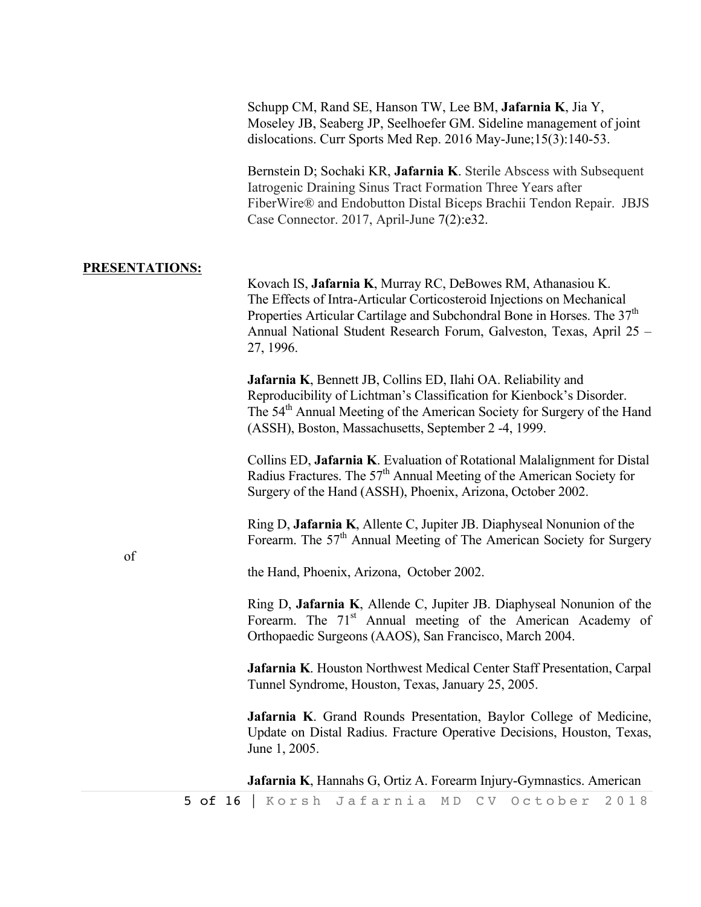Schupp CM, Rand SE, Hanson TW, Lee BM, **Jafarnia K**, Jia Y, Moseley JB, Seaberg JP, Seelhoefer GM. Sideline management of joint dislocations. Curr Sports Med Rep. 2016 May-June;15(3):140-53.

Bernstein D; Sochaki KR, **Jafarnia K**. Sterile Abscess with Subsequent Iatrogenic Draining Sinus Tract Formation Three Years after FiberWire® and Endobutton Distal Biceps Brachii Tendon Repair. JBJS Case Connector. 2017, April-June 7(2):e32.

#### **PRESENTATIONS:**

of

Kovach IS, **Jafarnia K**, Murray RC, DeBowes RM, Athanasiou K. The Effects of Intra-Articular Corticosteroid Injections on Mechanical Properties Articular Cartilage and Subchondral Bone in Horses. The  $37<sup>th</sup>$ Annual National Student Research Forum, Galveston, Texas, April 25 – 27, 1996.

**Jafarnia K**, Bennett JB, Collins ED, Ilahi OA. Reliability and Reproducibility of Lichtman's Classification for Kienbock's Disorder. The 54<sup>th</sup> Annual Meeting of the American Society for Surgery of the Hand (ASSH), Boston, Massachusetts, September 2 -4, 1999.

Collins ED, **Jafarnia K**. Evaluation of Rotational Malalignment for Distal Radius Fractures. The  $57<sup>th</sup>$  Annual Meeting of the American Society for Surgery of the Hand (ASSH), Phoenix, Arizona, October 2002.

Ring D, **Jafarnia K**, Allente C, Jupiter JB. Diaphyseal Nonunion of the Forearm. The 57<sup>th</sup> Annual Meeting of The American Society for Surgery

the Hand, Phoenix, Arizona, October 2002.

Ring D, **Jafarnia K**, Allende C, Jupiter JB. Diaphyseal Nonunion of the Forearm. The  $71<sup>st</sup>$  Annual meeting of the American Academy of Orthopaedic Surgeons (AAOS), San Francisco, March 2004.

**Jafarnia K**. Houston Northwest Medical Center Staff Presentation, Carpal Tunnel Syndrome, Houston, Texas, January 25, 2005.

**Jafarnia K**. Grand Rounds Presentation, Baylor College of Medicine, Update on Distal Radius. Fracture Operative Decisions, Houston, Texas, June 1, 2005.

**Jafarnia K**, Hannahs G, Ortiz A. Forearm Injury-Gymnastics. American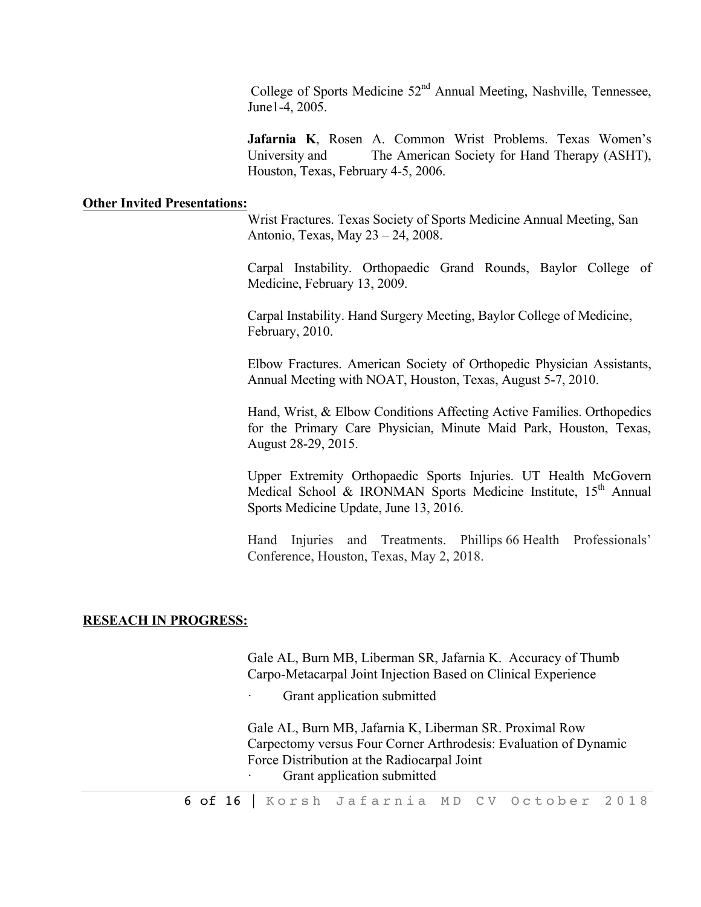College of Sports Medicine  $52<sup>nd</sup>$  Annual Meeting, Nashville, Tennessee, June1-4, 2005.

**Jafarnia K**, Rosen A. Common Wrist Problems. Texas Women's University and The American Society for Hand Therapy (ASHT), Houston, Texas, February 4-5, 2006.

#### **Other Invited Presentations:**

Wrist Fractures. Texas Society of Sports Medicine Annual Meeting, San Antonio, Texas, May 23 – 24, 2008.

Carpal Instability. Orthopaedic Grand Rounds, Baylor College of Medicine, February 13, 2009.

Carpal Instability. Hand Surgery Meeting, Baylor College of Medicine, February, 2010.

Elbow Fractures. American Society of Orthopedic Physician Assistants, Annual Meeting with NOAT, Houston, Texas, August 5-7, 2010.

Hand, Wrist, & Elbow Conditions Affecting Active Families. Orthopedics for the Primary Care Physician, Minute Maid Park, Houston, Texas, August 28-29, 2015.

Upper Extremity Orthopaedic Sports Injuries. UT Health McGovern Medical School & IRONMAN Sports Medicine Institute,  $15<sup>th</sup>$  Annual Sports Medicine Update, June 13, 2016.

Hand Injuries and Treatments. Phillips 66 Health Professionals' Conference, Houston, Texas, May 2, 2018.

#### **RESEACH IN PROGRESS:**

Gale AL, Burn MB, Liberman SR, Jafarnia K. Accuracy of Thumb Carpo-Metacarpal Joint Injection Based on Clinical Experience

Grant application submitted

Gale AL, Burn MB, Jafarnia K, Liberman SR. Proximal Row Carpectomy versus Four Corner Arthrodesis: Evaluation of Dynamic Force Distribution at the Radiocarpal Joint Grant application submitted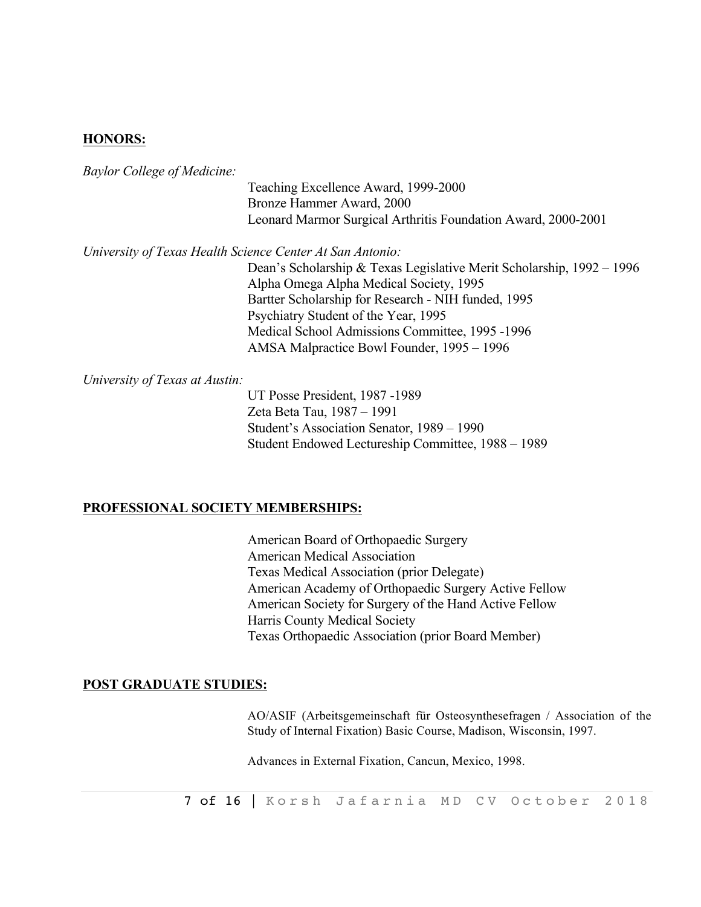## **HONORS:**

*Baylor College of Medicine:*

Teaching Excellence Award, 1999-2000 Bronze Hammer Award, 2000 Leonard Marmor Surgical Arthritis Foundation Award, 2000-2001

*University of Texas Health Science Center At San Antonio:*

Dean's Scholarship & Texas Legislative Merit Scholarship, 1992 – 1996 Alpha Omega Alpha Medical Society, 1995 Bartter Scholarship for Research - NIH funded, 1995 Psychiatry Student of the Year, 1995 Medical School Admissions Committee, 1995 -1996 AMSA Malpractice Bowl Founder, 1995 – 1996

*University of Texas at Austin:*

UT Posse President, 1987 -1989 Zeta Beta Tau, 1987 – 1991 Student's Association Senator, 1989 – 1990 Student Endowed Lectureship Committee, 1988 – 1989

#### **PROFESSIONAL SOCIETY MEMBERSHIPS:**

 American Board of Orthopaedic Surgery American Medical Association Texas Medical Association (prior Delegate) American Academy of Orthopaedic Surgery Active Fellow American Society for Surgery of the Hand Active Fellow Harris County Medical Society Texas Orthopaedic Association (prior Board Member)

#### **POST GRADUATE STUDIES:**

AO/ASIF (Arbeitsgemeinschaft für Osteosynthesefragen / Association of the Study of Internal Fixation) Basic Course, Madison, Wisconsin, 1997.

Advances in External Fixation, Cancun, Mexico, 1998.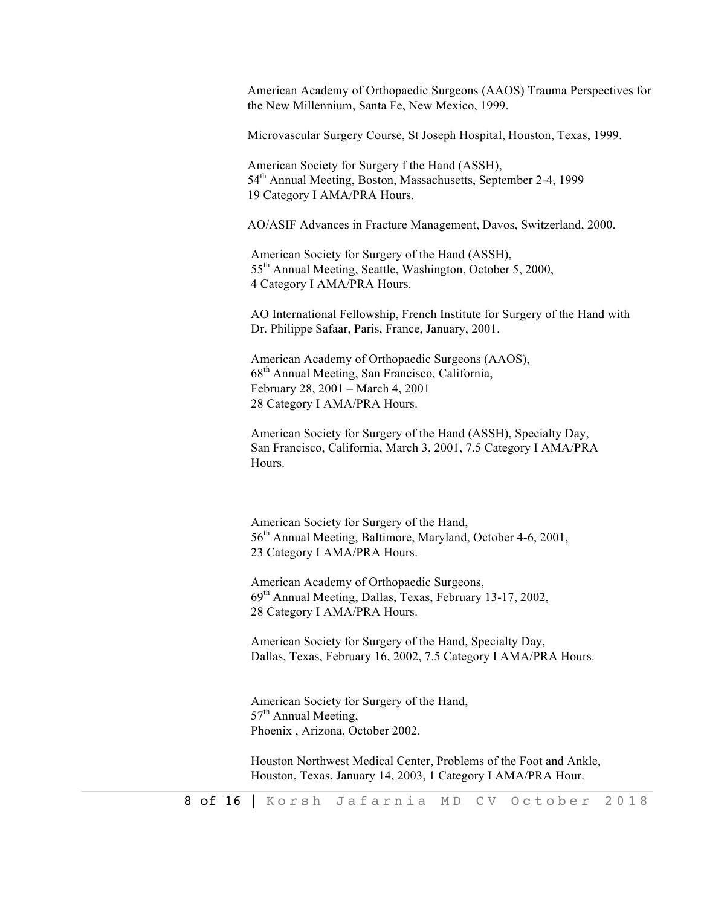American Academy of Orthopaedic Surgeons (AAOS) Trauma Perspectives for the New Millennium, Santa Fe, New Mexico, 1999.

Microvascular Surgery Course, St Joseph Hospital, Houston, Texas, 1999.

American Society for Surgery f the Hand (ASSH), 54<sup>th</sup> Annual Meeting, Boston, Massachusetts, September 2-4, 1999 19 Category I AMA/PRA Hours.

AO/ASIF Advances in Fracture Management, Davos, Switzerland, 2000.

American Society for Surgery of the Hand (ASSH), 55th Annual Meeting, Seattle, Washington, October 5, 2000, 4 Category I AMA/PRA Hours.

AO International Fellowship, French Institute for Surgery of the Hand with Dr. Philippe Safaar, Paris, France, January, 2001.

American Academy of Orthopaedic Surgeons (AAOS), 68th Annual Meeting, San Francisco, California, February 28, 2001 – March 4, 2001 28 Category I AMA/PRA Hours.

American Society for Surgery of the Hand (ASSH), Specialty Day, San Francisco, California, March 3, 2001, 7.5 Category I AMA/PRA Hours.

American Society for Surgery of the Hand, 56<sup>th</sup> Annual Meeting, Baltimore, Maryland, October 4-6, 2001, 23 Category I AMA/PRA Hours.

American Academy of Orthopaedic Surgeons, 69th Annual Meeting, Dallas, Texas, February 13-17, 2002, 28 Category I AMA/PRA Hours.

American Society for Surgery of the Hand, Specialty Day, Dallas, Texas, February 16, 2002, 7.5 Category I AMA/PRA Hours.

American Society for Surgery of the Hand,  $57<sup>th</sup>$  Annual Meeting, Phoenix , Arizona, October 2002.

Houston Northwest Medical Center, Problems of the Foot and Ankle, Houston, Texas, January 14, 2003, 1 Category I AMA/PRA Hour.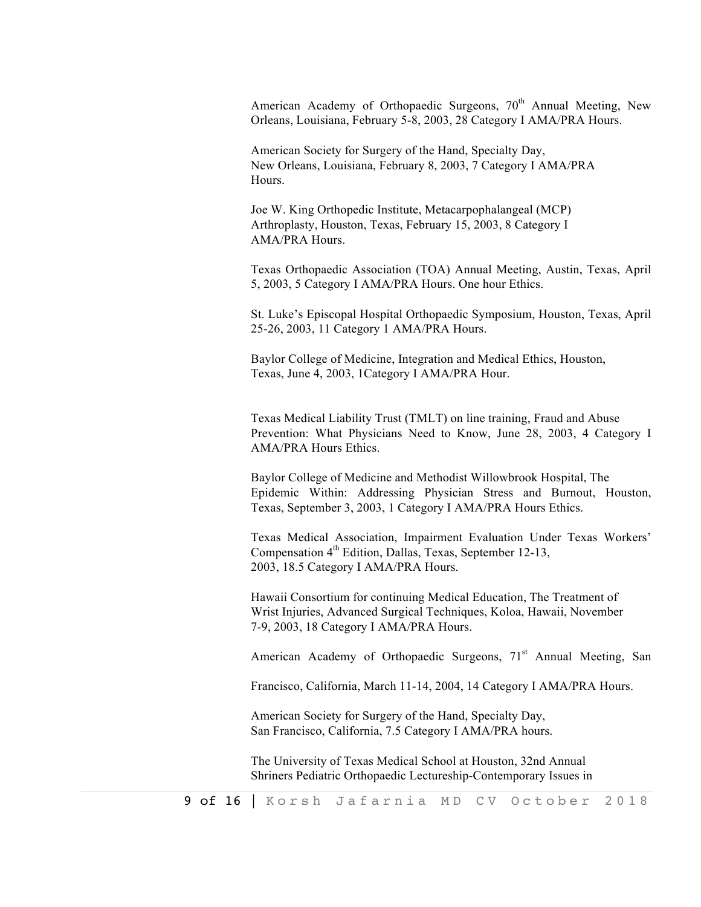American Academy of Orthopaedic Surgeons, 70<sup>th</sup> Annual Meeting, New Orleans, Louisiana, February 5-8, 2003, 28 Category I AMA/PRA Hours.

American Society for Surgery of the Hand, Specialty Day, New Orleans, Louisiana, February 8, 2003, 7 Category I AMA/PRA Hours.

Joe W. King Orthopedic Institute, Metacarpophalangeal (MCP) Arthroplasty, Houston, Texas, February 15, 2003, 8 Category I AMA/PRA Hours.

Texas Orthopaedic Association (TOA) Annual Meeting, Austin, Texas, April 5, 2003, 5 Category I AMA/PRA Hours. One hour Ethics.

St. Luke's Episcopal Hospital Orthopaedic Symposium, Houston, Texas, April 25-26, 2003, 11 Category 1 AMA/PRA Hours.

Baylor College of Medicine, Integration and Medical Ethics, Houston, Texas, June 4, 2003, 1Category I AMA/PRA Hour.

Texas Medical Liability Trust (TMLT) on line training, Fraud and Abuse Prevention: What Physicians Need to Know, June 28, 2003, 4 Category I AMA/PRA Hours Ethics.

Baylor College of Medicine and Methodist Willowbrook Hospital, The Epidemic Within: Addressing Physician Stress and Burnout, Houston, Texas, September 3, 2003, 1 Category I AMA/PRA Hours Ethics.

Texas Medical Association, Impairment Evaluation Under Texas Workers' Compensation  $4<sup>th</sup>$  Edition, Dallas, Texas, September 12-13, 2003, 18.5 Category I AMA/PRA Hours.

Hawaii Consortium for continuing Medical Education, The Treatment of Wrist Injuries, Advanced Surgical Techniques, Koloa, Hawaii, November 7-9, 2003, 18 Category I AMA/PRA Hours.

American Academy of Orthopaedic Surgeons,  $71<sup>st</sup>$  Annual Meeting, San

Francisco, California, March 11-14, 2004, 14 Category I AMA/PRA Hours.

American Society for Surgery of the Hand, Specialty Day, San Francisco, California, 7.5 Category I AMA/PRA hours.

The University of Texas Medical School at Houston, 32nd Annual Shriners Pediatric Orthopaedic Lectureship-Contemporary Issues in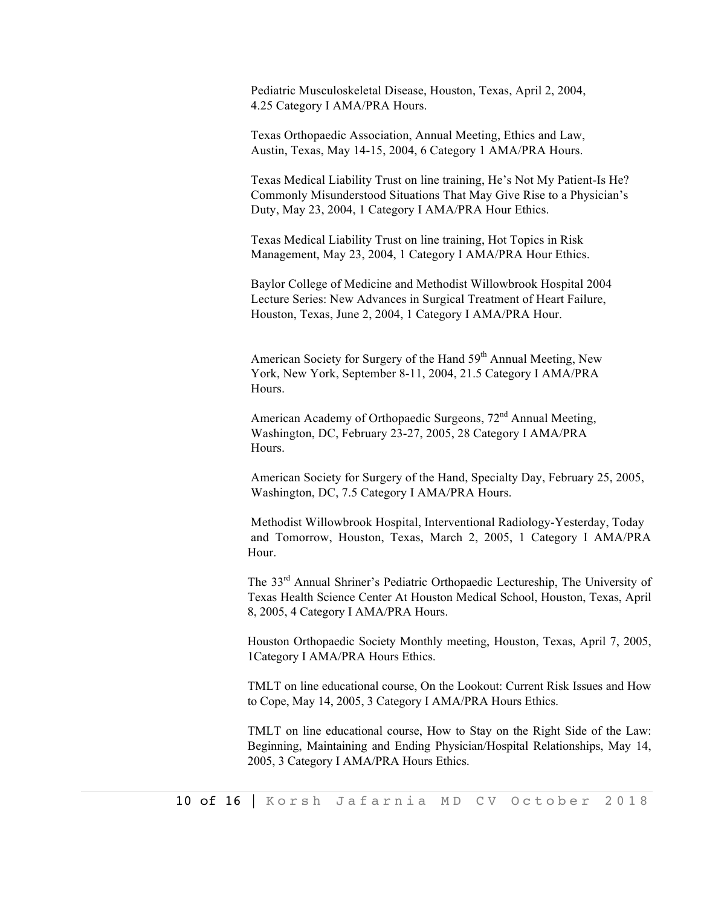Pediatric Musculoskeletal Disease, Houston, Texas, April 2, 2004, 4.25 Category I AMA/PRA Hours.

Texas Orthopaedic Association, Annual Meeting, Ethics and Law, Austin, Texas, May 14-15, 2004, 6 Category 1 AMA/PRA Hours.

Texas Medical Liability Trust on line training, He's Not My Patient-Is He? Commonly Misunderstood Situations That May Give Rise to a Physician's Duty, May 23, 2004, 1 Category I AMA/PRA Hour Ethics.

Texas Medical Liability Trust on line training, Hot Topics in Risk Management, May 23, 2004, 1 Category I AMA/PRA Hour Ethics.

Baylor College of Medicine and Methodist Willowbrook Hospital 2004 Lecture Series: New Advances in Surgical Treatment of Heart Failure, Houston, Texas, June 2, 2004, 1 Category I AMA/PRA Hour.

American Society for Surgery of the Hand  $59<sup>th</sup>$  Annual Meeting, New York, New York, September 8-11, 2004, 21.5 Category I AMA/PRA Hours.

American Academy of Orthopaedic Surgeons, 72<sup>nd</sup> Annual Meeting, Washington, DC, February 23-27, 2005, 28 Category I AMA/PRA Hours.

American Society for Surgery of the Hand, Specialty Day, February 25, 2005, Washington, DC, 7.5 Category I AMA/PRA Hours.

Methodist Willowbrook Hospital, Interventional Radiology-Yesterday, Today and Tomorrow, Houston, Texas, March 2, 2005, 1 Category I AMA/PRA Hour.

The 33rd Annual Shriner's Pediatric Orthopaedic Lectureship, The University of Texas Health Science Center At Houston Medical School, Houston, Texas, April 8, 2005, 4 Category I AMA/PRA Hours.

Houston Orthopaedic Society Monthly meeting, Houston, Texas, April 7, 2005, 1Category I AMA/PRA Hours Ethics.

TMLT on line educational course, On the Lookout: Current Risk Issues and How to Cope, May 14, 2005, 3 Category I AMA/PRA Hours Ethics.

TMLT on line educational course, How to Stay on the Right Side of the Law: Beginning, Maintaining and Ending Physician/Hospital Relationships, May 14, 2005, 3 Category I AMA/PRA Hours Ethics.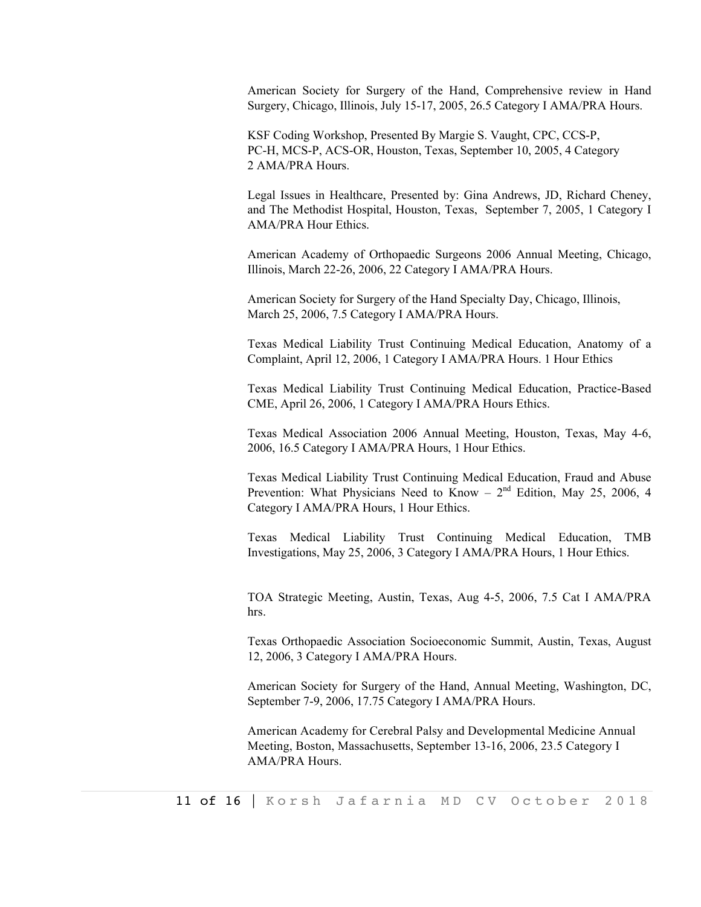American Society for Surgery of the Hand, Comprehensive review in Hand Surgery, Chicago, Illinois, July 15-17, 2005, 26.5 Category I AMA/PRA Hours.

KSF Coding Workshop, Presented By Margie S. Vaught, CPC, CCS-P, PC-H, MCS-P, ACS-OR, Houston, Texas, September 10, 2005, 4 Category 2 AMA/PRA Hours.

Legal Issues in Healthcare, Presented by: Gina Andrews, JD, Richard Cheney, and The Methodist Hospital, Houston, Texas, September 7, 2005, 1 Category I AMA/PRA Hour Ethics.

American Academy of Orthopaedic Surgeons 2006 Annual Meeting, Chicago, Illinois, March 22-26, 2006, 22 Category I AMA/PRA Hours.

American Society for Surgery of the Hand Specialty Day, Chicago, Illinois, March 25, 2006, 7.5 Category I AMA/PRA Hours.

Texas Medical Liability Trust Continuing Medical Education, Anatomy of a Complaint, April 12, 2006, 1 Category I AMA/PRA Hours. 1 Hour Ethics

Texas Medical Liability Trust Continuing Medical Education, Practice-Based CME, April 26, 2006, 1 Category I AMA/PRA Hours Ethics.

Texas Medical Association 2006 Annual Meeting, Houston, Texas, May 4-6, 2006, 16.5 Category I AMA/PRA Hours, 1 Hour Ethics.

Texas Medical Liability Trust Continuing Medical Education, Fraud and Abuse Prevention: What Physicians Need to Know –  $2<sup>nd</sup>$  Edition, May 25, 2006, 4 Category I AMA/PRA Hours, 1 Hour Ethics.

Texas Medical Liability Trust Continuing Medical Education, TMB Investigations, May 25, 2006, 3 Category I AMA/PRA Hours, 1 Hour Ethics.

TOA Strategic Meeting, Austin, Texas, Aug 4-5, 2006, 7.5 Cat I AMA/PRA hrs.

Texas Orthopaedic Association Socioeconomic Summit, Austin, Texas, August 12, 2006, 3 Category I AMA/PRA Hours.

American Society for Surgery of the Hand, Annual Meeting, Washington, DC, September 7-9, 2006, 17.75 Category I AMA/PRA Hours.

American Academy for Cerebral Palsy and Developmental Medicine Annual Meeting, Boston, Massachusetts, September 13-16, 2006, 23.5 Category I AMA/PRA Hours.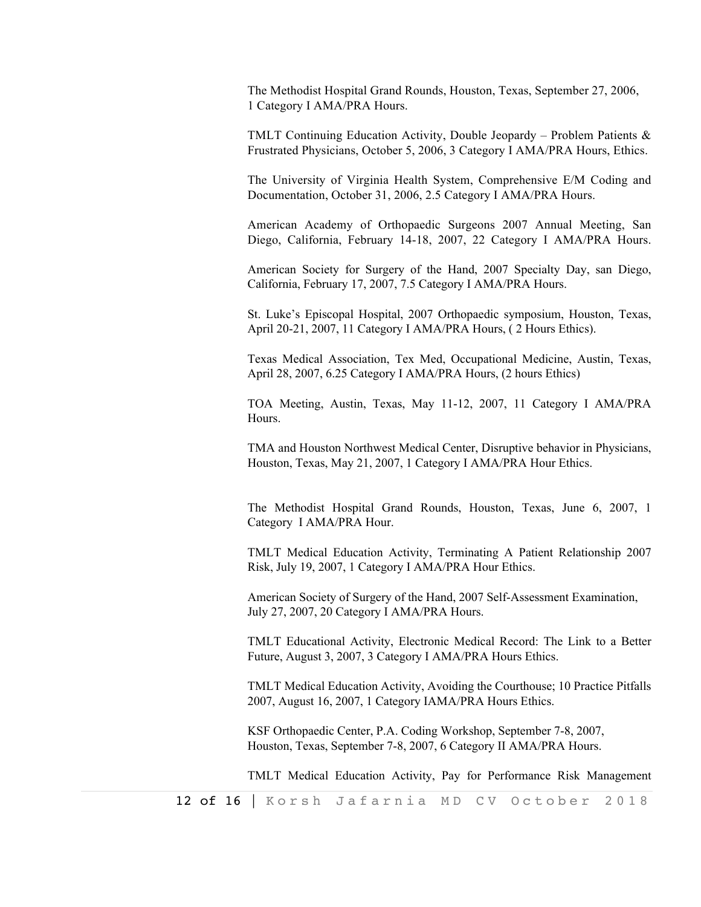The Methodist Hospital Grand Rounds, Houston, Texas, September 27, 2006, 1 Category I AMA/PRA Hours.

TMLT Continuing Education Activity, Double Jeopardy – Problem Patients  $\&$ Frustrated Physicians, October 5, 2006, 3 Category I AMA/PRA Hours, Ethics.

The University of Virginia Health System, Comprehensive E/M Coding and Documentation, October 31, 2006, 2.5 Category I AMA/PRA Hours.

American Academy of Orthopaedic Surgeons 2007 Annual Meeting, San Diego, California, February 14-18, 2007, 22 Category I AMA/PRA Hours.

American Society for Surgery of the Hand, 2007 Specialty Day, san Diego, California, February 17, 2007, 7.5 Category I AMA/PRA Hours.

St. Luke's Episcopal Hospital, 2007 Orthopaedic symposium, Houston, Texas, April 20-21, 2007, 11 Category I AMA/PRA Hours, ( 2 Hours Ethics).

Texas Medical Association, Tex Med, Occupational Medicine, Austin, Texas, April 28, 2007, 6.25 Category I AMA/PRA Hours, (2 hours Ethics)

TOA Meeting, Austin, Texas, May 11-12, 2007, 11 Category I AMA/PRA **Hours**.

TMA and Houston Northwest Medical Center, Disruptive behavior in Physicians, Houston, Texas, May 21, 2007, 1 Category I AMA/PRA Hour Ethics.

The Methodist Hospital Grand Rounds, Houston, Texas, June 6, 2007, 1 Category I AMA/PRA Hour.

TMLT Medical Education Activity, Terminating A Patient Relationship 2007 Risk, July 19, 2007, 1 Category I AMA/PRA Hour Ethics.

American Society of Surgery of the Hand, 2007 Self-Assessment Examination, July 27, 2007, 20 Category I AMA/PRA Hours.

TMLT Educational Activity, Electronic Medical Record: The Link to a Better Future, August 3, 2007, 3 Category I AMA/PRA Hours Ethics.

TMLT Medical Education Activity, Avoiding the Courthouse; 10 Practice Pitfalls 2007, August 16, 2007, 1 Category IAMA/PRA Hours Ethics.

KSF Orthopaedic Center, P.A. Coding Workshop, September 7-8, 2007, Houston, Texas, September 7-8, 2007, 6 Category II AMA/PRA Hours.

TMLT Medical Education Activity, Pay for Performance Risk Management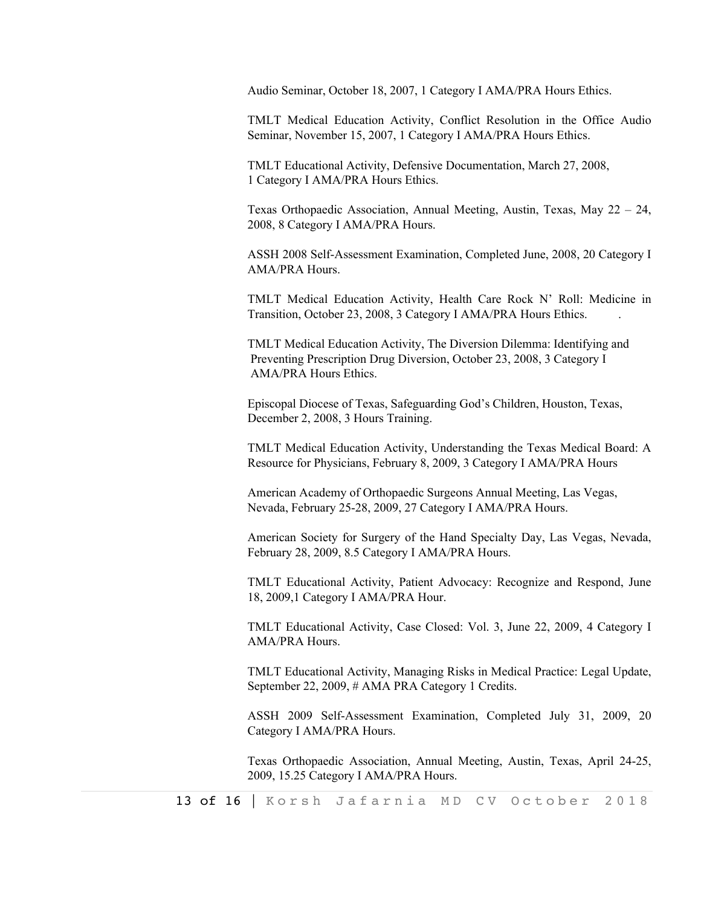Audio Seminar, October 18, 2007, 1 Category I AMA/PRA Hours Ethics.

TMLT Medical Education Activity, Conflict Resolution in the Office Audio Seminar, November 15, 2007, 1 Category I AMA/PRA Hours Ethics.

TMLT Educational Activity, Defensive Documentation, March 27, 2008, 1 Category I AMA/PRA Hours Ethics.

Texas Orthopaedic Association, Annual Meeting, Austin, Texas, May 22 – 24, 2008, 8 Category I AMA/PRA Hours.

ASSH 2008 Self-Assessment Examination, Completed June, 2008, 20 Category I AMA/PRA Hours.

TMLT Medical Education Activity, Health Care Rock N' Roll: Medicine in Transition, October 23, 2008, 3 Category I AMA/PRA Hours Ethics. .

TMLT Medical Education Activity, The Diversion Dilemma: Identifying and Preventing Prescription Drug Diversion, October 23, 2008, 3 Category I AMA/PRA Hours Ethics.

Episcopal Diocese of Texas, Safeguarding God's Children, Houston, Texas, December 2, 2008, 3 Hours Training.

TMLT Medical Education Activity, Understanding the Texas Medical Board: A Resource for Physicians, February 8, 2009, 3 Category I AMA/PRA Hours

American Academy of Orthopaedic Surgeons Annual Meeting, Las Vegas, Nevada, February 25-28, 2009, 27 Category I AMA/PRA Hours.

American Society for Surgery of the Hand Specialty Day, Las Vegas, Nevada, February 28, 2009, 8.5 Category I AMA/PRA Hours.

TMLT Educational Activity, Patient Advocacy: Recognize and Respond, June 18, 2009,1 Category I AMA/PRA Hour.

TMLT Educational Activity, Case Closed: Vol. 3, June 22, 2009, 4 Category I AMA/PRA Hours.

TMLT Educational Activity, Managing Risks in Medical Practice: Legal Update, September 22, 2009, # AMA PRA Category 1 Credits.

ASSH 2009 Self-Assessment Examination, Completed July 31, 2009, 20 Category I AMA/PRA Hours.

Texas Orthopaedic Association, Annual Meeting, Austin, Texas, April 24-25, 2009, 15.25 Category I AMA/PRA Hours.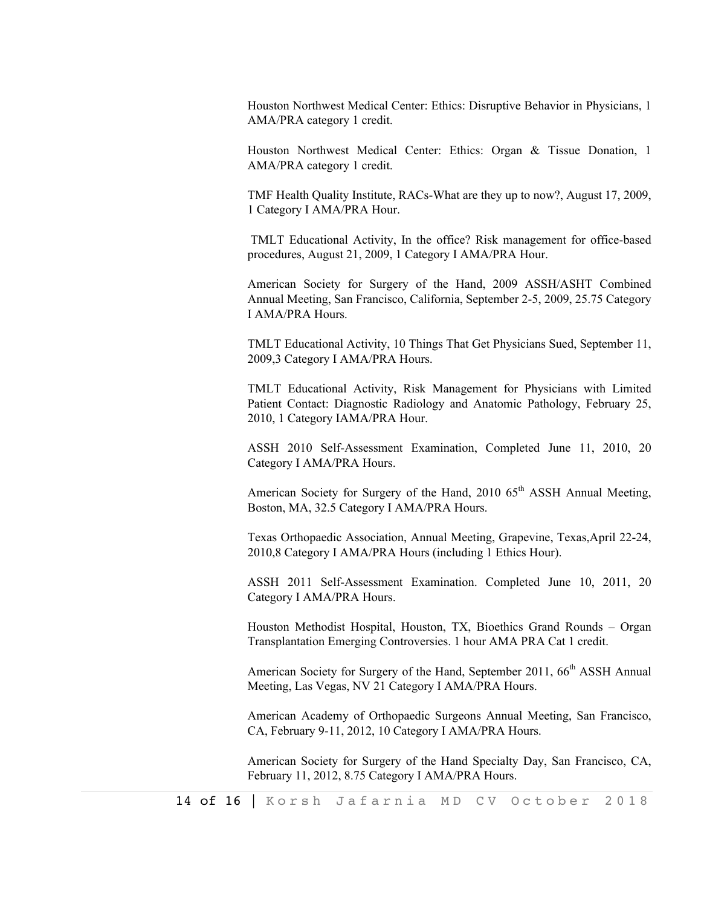Houston Northwest Medical Center: Ethics: Disruptive Behavior in Physicians, 1 AMA/PRA category 1 credit.

Houston Northwest Medical Center: Ethics: Organ & Tissue Donation, 1 AMA/PRA category 1 credit.

TMF Health Quality Institute, RACs-What are they up to now?, August 17, 2009, 1 Category I AMA/PRA Hour.

TMLT Educational Activity, In the office? Risk management for office-based procedures, August 21, 2009, 1 Category I AMA/PRA Hour.

American Society for Surgery of the Hand, 2009 ASSH/ASHT Combined Annual Meeting, San Francisco, California, September 2-5, 2009, 25.75 Category I AMA/PRA Hours.

TMLT Educational Activity, 10 Things That Get Physicians Sued, September 11, 2009,3 Category I AMA/PRA Hours.

TMLT Educational Activity, Risk Management for Physicians with Limited Patient Contact: Diagnostic Radiology and Anatomic Pathology, February 25, 2010, 1 Category IAMA/PRA Hour.

ASSH 2010 Self-Assessment Examination, Completed June 11, 2010, 20 Category I AMA/PRA Hours.

American Society for Surgery of the Hand, 2010 65<sup>th</sup> ASSH Annual Meeting, Boston, MA, 32.5 Category I AMA/PRA Hours.

Texas Orthopaedic Association, Annual Meeting, Grapevine, Texas,April 22-24, 2010,8 Category I AMA/PRA Hours (including 1 Ethics Hour).

ASSH 2011 Self-Assessment Examination. Completed June 10, 2011, 20 Category I AMA/PRA Hours.

Houston Methodist Hospital, Houston, TX, Bioethics Grand Rounds – Organ Transplantation Emerging Controversies. 1 hour AMA PRA Cat 1 credit.

American Society for Surgery of the Hand, September 2011, 66<sup>th</sup> ASSH Annual Meeting, Las Vegas, NV 21 Category I AMA/PRA Hours.

American Academy of Orthopaedic Surgeons Annual Meeting, San Francisco, CA, February 9-11, 2012, 10 Category I AMA/PRA Hours.

American Society for Surgery of the Hand Specialty Day, San Francisco, CA, February 11, 2012, 8.75 Category I AMA/PRA Hours.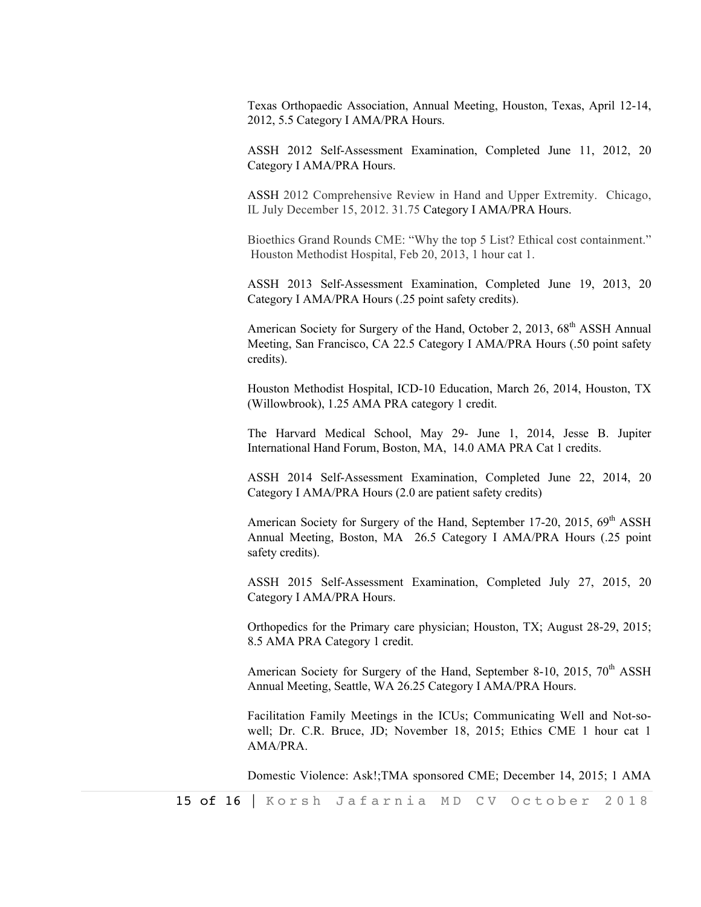Texas Orthopaedic Association, Annual Meeting, Houston, Texas, April 12-14, 2012, 5.5 Category I AMA/PRA Hours.

ASSH 2012 Self-Assessment Examination, Completed June 11, 2012, 20 Category I AMA/PRA Hours.

ASSH 2012 Comprehensive Review in Hand and Upper Extremity. Chicago, IL July December 15, 2012. 31.75 Category I AMA/PRA Hours.

Bioethics Grand Rounds CME: "Why the top 5 List? Ethical cost containment." Houston Methodist Hospital, Feb 20, 2013, 1 hour cat 1.

ASSH 2013 Self-Assessment Examination, Completed June 19, 2013, 20 Category I AMA/PRA Hours (.25 point safety credits).

American Society for Surgery of the Hand, October 2, 2013, 68<sup>th</sup> ASSH Annual Meeting, San Francisco, CA 22.5 Category I AMA/PRA Hours (.50 point safety credits).

Houston Methodist Hospital, ICD-10 Education, March 26, 2014, Houston, TX (Willowbrook), 1.25 AMA PRA category 1 credit.

The Harvard Medical School, May 29- June 1, 2014, Jesse B. Jupiter International Hand Forum, Boston, MA, 14.0 AMA PRA Cat 1 credits.

ASSH 2014 Self-Assessment Examination, Completed June 22, 2014, 20 Category I AMA/PRA Hours (2.0 are patient safety credits)

American Society for Surgery of the Hand, September 17-20, 2015,  $69<sup>th</sup>$  ASSH Annual Meeting, Boston, MA 26.5 Category I AMA/PRA Hours (.25 point safety credits).

ASSH 2015 Self-Assessment Examination, Completed July 27, 2015, 20 Category I AMA/PRA Hours.

Orthopedics for the Primary care physician; Houston, TX; August 28-29, 2015; 8.5 AMA PRA Category 1 credit.

American Society for Surgery of the Hand, September 8-10, 2015,  $70<sup>th</sup>$  ASSH Annual Meeting, Seattle, WA 26.25 Category I AMA/PRA Hours.

Facilitation Family Meetings in the ICUs; Communicating Well and Not-sowell; Dr. C.R. Bruce, JD; November 18, 2015; Ethics CME 1 hour cat 1 AMA/PRA.

Domestic Violence: Ask!;TMA sponsored CME; December 14, 2015; 1 AMA